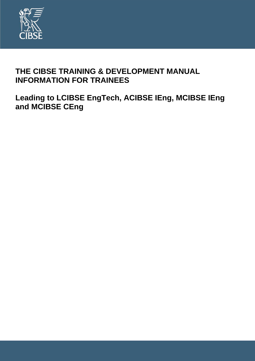

### **THE CIBSE TRAINING & DEVELOPMENT MANUAL INFORMATION FOR TRAINEES**

**Leading to LCIBSE EngTech, ACIBSE IEng, MCIBSE IEng and MCIBSE CEng**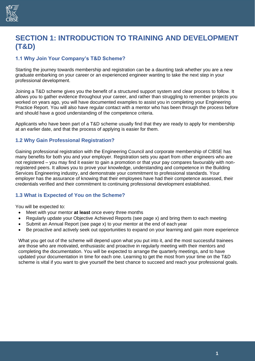

### **SECTION 1: INTRODUCTION TO TRAINING AND DEVELOPMENT (T&D)**

#### **1.1 Why Join Your Company's T&D Scheme?**

Starting the journey towards membership and registration can be a daunting task whether you are a new graduate embarking on your career or an experienced engineer wanting to take the next step in your professional development.

Joining a T&D scheme gives you the benefit of a structured support system and clear process to follow. It allows you to gather evidence throughout your career, and rather than struggling to remember projects you worked on years ago, you will have documented examples to assist you in completing your Engineering Practice Report. You will also have regular contact with a mentor who has been through the process before and should have a good understanding of the competence criteria.

Applicants who have been part of a T&D scheme usually find that they are ready to apply for membership at an earlier date, and that the process of applying is easier for them.

#### **1.2 Why Gain Professional Registration?**

Gaining professional registration with the Engineering Council and corporate membership of CIBSE has many benefits for both you and your employer. Registration sets you apart from other engineers who are not registered – you may find it easier to gain a promotion or that your pay compares favourably with nonregistered peers. It allows you to prove your knowledge, understanding and competence in the Building Services Engineering industry, and demonstrate your commitment to professional standards. Your employer has the assurance of knowing that their employees have had their competence assessed, their credentials verified and their commitment to continuing professional development established.

#### **1.3 What is Expected of You on the Scheme?**

You will be expected to:

- Meet with your mentor **at least** once every three months
- Regularly update your Objective Achieved Reports (see page x) and bring them to each meeting
- Submit an Annual Report (see page x) to your mentor at the end of each year
- Be proactive and actively seek out opportunities to expand on your learning and gain more experience

What you get out of the scheme will depend upon what you put into it, and the most successful trainees are those who are motivated, enthusiastic and proactive in regularly meeting with their mentors and completing the documentation. You will be expected to arrange the quarterly meetings, and to have updated your documentation in time for each one. Learning to get the most from your time on the T&D scheme is vital if you want to give yourself the best chance to succeed and reach your professional goals.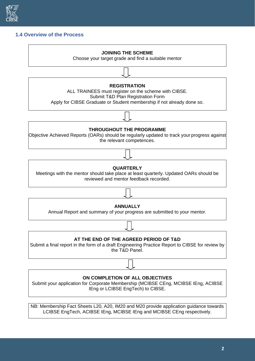

#### **1.4 Overview of the Process**

# **JOINING THE SCHEME** Choose your target grade and find a suitable mentor **REGISTRATION** ALL TRAINEES must register on the scheme with CIBSE. Submit T&D Plan Registration Form Apply for CIBSE Graduate or Student membership if not already done so. **THROUGHOUT THE PROGRAMME** Objective Achieved Reports (OARs) should be regularly updated to track your progress against the relevant competences. **QUARTERLY** Meetings with the mentor should take place at least quarterly. Updated OARs should be reviewed and mentor feedback recorded. **ANNUALLY** Annual Report and summary of your progress are submitted to your mentor. **AT THE END OF THE AGREED PERIOD OF T&D** Submit a final report in the form of a draft Engineering Practice Report to CIBSE for review by the T&D Panel. **ON COMPLETION OF ALL OBJECTIVES** Submit your application for Corporate Membership (MCIBSE CEng, MCIBSE IEng, ACIBSE IEng or LCIBSE EngTech) to CIBSE.

NB: Membership Fact Sheets L20, A20, IM20 and M20 provide application guidance towards LCIBSE EngTech, ACIBSE IEng, MCIBSE IEng and MCIBSE CEng respectively.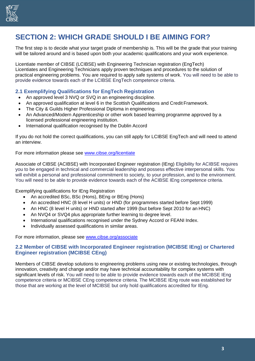

### **SECTION 2: WHICH GRADE SHOULD I BE AIMING FOR?**

The first step is to decide what your target grade of membership is. This will be the grade that your training will be tailored around and is based upon both your academic qualifications and your work experience.

Licentiate member of CIBSE (LCIBSE) with Engineering Technician registration (EngTech) Licentiates and Engineering Technicians apply proven techniques and procedures to the solution of practical engineering problems. You are required to apply safe systems of work. You will need to be able to provide evidence towards each of the LCIBSE EngTech competence criteria.

#### **2.1 Exemplifying Qualifications for EngTech Registration**

- An approved level 3 NVQ or SVQ in an engineering discipline.
- An approved qualification at level 6 in the Scottish Qualifications and Credit Framework.
- The City & Guilds Higher Professional Diploma in engineering.
- An Advanced/Modern Apprenticeship or other work based learning programme approved by a licensed professional engineering institution.
- International qualification recognised by the Dublin Accord

If you do not hold the correct qualifications, you can still apply for LCIBSE EngTech and will need to attend an interview.

For more information please see [www.cibse.org/licentiate](http://www.cibse.org/licentiate)

Associate of CIBSE (ACIBSE) with Incorporated Engineer registration (IEng) Eligibility for ACIBSE requires you to be engaged in technical and commercial leadership and possess effective interpersonal skills. You will exhibit a personal and professional commitment to society, to your profession, and to the environment. You will need to be able to provide evidence towards each of the ACIBSE IEng competence criteria.

Exemplifying qualifications for IEng Registration

- An accredited BSc, BSc (Hons), BEng or BEng (Hons)
- An accredited HNC (8 level H units) or HND (for programmes started before Sept 1999)
- An HNC (8 level H units) or HND started after 1999 (but before Sept 2010 for an HNC)
- An NVQ4 or SVQ4 plus appropriate further learning to degree level.
- International qualifications recognised under the Sydney Accord or FEANI Index.
- Individually assessed qualifications in similar areas.

For more information, please see [www.cibse.org/associate](http://www.cibse.org/associate)

#### **2.2 Member of CIBSE with Incorporated Engineer registration (MCIBSE IEng) or Chartered Engineer registration (MCIBSE CEng)**

Members of CIBSE develop solutions to engineering problems using new or existing technologies, through innovation, creativity and change and/or may have technical accountability for complex systems with significant levels of risk. You will need to be able to provide evidence towards each of the MCIBSE IEng competence criteria or MCIBSE CEng competence criteria. The MCIBSE IEng route was established for those that are working at the level of MCIBSE but only hold qualifications accredited for IEng.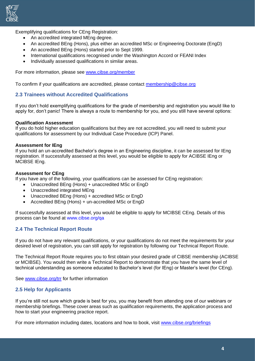

Exemplifying qualifications for CEng Registration:

- An accredited integrated MEng degree.
- An accredited BEng (Hons), plus either an accredited MSc or Engineering Doctorate (EngD)
- An accredited BEng (Hons) started prior to Sept 1999.
- International qualifications recognised under the Washington Accord or FEANI Index
- Individually assessed qualifications in similar areas.

For more information, please see [www.cibse.org/member](http://www.cibse.org/member)

To confirm if your qualifications are accredited, please contact [membership@cibse.org](mailto:membership@cibse.org)

#### **2.3 Trainees without Accredited Qualifications**

If you don't hold exemplifying qualifications for the grade of membership and registration you would like to apply for, don't panic! There is always a route to membership for you, and you still have several options:

#### **Qualification Assessment**

If you do hold higher education qualifications but they are not accredited, you will need to submit your qualifications for assessment by our Individual Case Procedure (ICP) Panel.

#### **Assessment for IEng**

If you hold an un-accredited Bachelor's degree in an Engineering discipline, it can be assessed for IEng registration. If successfully assessed at this level, you would be eligible to apply for ACIBSE IEng or MCIBSE IEng.

#### **Assessment for CEng**

If you have any of the following, your qualifications can be assessed for CEng registration:

- Unaccredited BEng (Hons) + unaccredited MSc or EngD
- Unaccredited integrated MEng
- Unaccredited BEng (Hons) + accredited MSc or EngD
- Accredited BEng (Hons) + un-accredited MSc or EngD

If successfully assessed at this level, you would be eligible to apply for MCIBSE CEng. Details of this process can be found at [www.cibse.org/qa](http://www.cibse.org/qa)

#### **2.4 The Technical Report Route**

If you do not have any relevant qualifications, or your qualifications do not meet the requirements for your desired level of registration, you can still apply for registration by following our Technical Report Route.

The Technical Report Route requires you to first obtain your desired grade of CIBSE membership (ACIBSE or MCIBSE). You would then write a Technical Report to demonstrate that you have the same level of technical understanding as someone educated to Bachelor's level (for IEng) or Master's level (for CEng).

See [www.cibse.org/trr](http://www.cibse.org/trr) for further information

#### **2.5 Help for Applicants**

If you're still not sure which grade is best for you, you may benefit from attending one of our webinars or membership briefings. These cover areas such as qualification requirements, the application process and how to start your engineering practice report.

For more information including dates, locations and how to book, visit [www.cibse.org/briefings](http://www.cibse.org/briefings)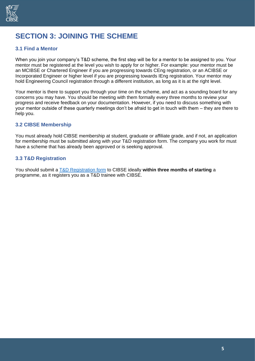

## **SECTION 3: JOINING THE SCHEME**

#### **3.1 Find a Mentor**

When you join your company's T&D scheme, the first step will be for a mentor to be assigned to you. Your mentor must be registered at the level you wish to apply for or higher. For example: your mentor must be an MCIBSE or Chartered Engineer if you are progressing towards CEng registration, or an ACIBSE or Incorporated Engineer or higher level if you are progressing towards IEng registration. Your mentor may hold Engineering Council registration through a different institution, as long as it is at the right level.

Your mentor is there to support you through your time on the scheme, and act as a sounding board for any concerns you may have. You should be meeting with them formally every three months to review your progress and receive feedback on your documentation. However, if you need to discuss something with your mentor outside of these quarterly meetings don't be afraid to get in touch with them – they are there to help you.

#### **3.2 CIBSE Membership**

You must already hold CIBSE membership at student, graduate or affiliate grade, and if not, an application for membership must be submitted along with your T&D registration form. The company you work for must have a scheme that has already been approved or is seeking approval.

#### **3.3 T&D Registration**

You should submit a [T&D Registration form](https://cibse.egnyte.com/dl/r7hIJek6Ii) to CIBSE ideally **within three months of starting** a programme, as it registers you as a T&D trainee with CIBSE.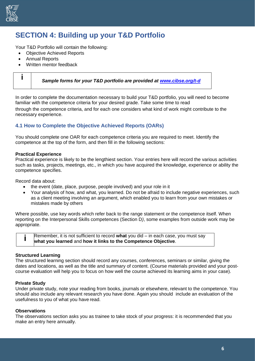

### **SECTION 4: Building up your T&D Portfolio**

Your T&D Portfolio will contain the following:

- Objective Achieved Reports
- Annual Reports
- Written mentor feedback

|  | Sample forms for your T&D portfolio are provided at www.cibse.org/t-d |
|--|-----------------------------------------------------------------------|
|--|-----------------------------------------------------------------------|

In order to complete the documentation necessary to build your T&D portfolio, you will need to become familiar with the competence criteria for your desired grade. Take some time to read through the competence criteria, and for each one considers what kind of work might contribute to the necessary experience.

#### **4.1 How to Complete the Objective Achieved Reports (OARs)**

You should complete one OAR for each competence criteria you are required to meet. Identify the competence at the top of the form, and then fill in the following sections:

#### **Practical Experience**

Practical experience is likely to be the lengthiest section. Your entries here will record the various activities such as tasks, projects, meetings, etc., in which you have acquired the knowledge, experience or ability the competence specifies.

Record data about:

- the event (date, place, purpose, people involved) and your role in it
- Your analysis of how, and what, you learned. Do not be afraid to include negative experiences, such as a client meeting involving an argument, which enabled you to learn from your own mistakes or mistakes made by others

Where possible, use key words which refer back to the range statement or the competence itself. When reporting on the Interpersonal Skills competences (Section D*)*, some examples from outside work may be appropriate.



Remember, it is not sufficient to record **what** you did – in each case, you must say **what you learned** and **how it links to the Competence Objective**.

#### **Structured Learning**

The structured learning section should record any courses, conferences, seminars or similar, giving the dates and locations, as well as the title and summary of content. (Course materials provided and your postcourse evaluation will help you to focus on how well the course achieved its learning aims in your case).

#### **Private Study**

Under private study, note your reading from books, journals or elsewhere, relevant to the competence. You should also include any relevant research you have done. Again you should include an evaluation of the usefulness to you of what you have read.

#### **Observations**

The observations section asks you as trainee to take stock of your progress: it is recommended that you make an entry here annually.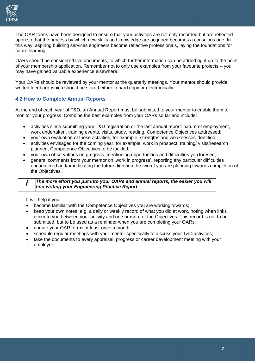

The OAR forms have been designed to ensure that your activities are not only recorded but are reflected upon so that the process by which new skills and knowledge are acquired becomes a conscious one. In this way, aspiring building services engineers become reflective professionals, laying the foundations for future learning.

OARs should be considered live documents, to which further information can be added right up to the point of your membership application. Remember not to only use examples from your favourite projects – you may have gained valuable experience elsewhere.

Your OARs should be reviewed by your mentor at the quarterly meetings. Your mentor should provide written feedback which should be stored either in hard copy or electronically.

#### **4.2 How to Complete Annual Reports**

At the end of each year of T&D, an Annual Report must be submitted to your mentor to enable them to monitor your progress. Combine the best examples from your OARs so far and include:

- activities since submitting your T&D registration or the last annual report: nature of employment, work undertaken, training events, visits, study, reading, Competence Objectives addressed;
- your own evaluation of these activities, for example, strengths and weaknesses identified;
- activities envisaged for the coming year, for example, work in prospect, training/ visits/research planned, Competence Objectives to be tackled;
- your own observations on progress, mentioning opportunities and difficulties you foresee;
- general comments from your mentor on 'work in progress', reporting any particular difficulties encountered and/or indicating the future direction the two of you are planning towards completion of the Objectives.

#### *i The more effort you put into your OARs and annual reports, the easier you will find writing your Engineering Practice Report*

It will help if you:

- become familiar with the Competence Objectives you are working towards;
- keep your own notes, e.g. a daily or weekly record of what you did at work, noting when links occur to you between your activity and one or more of the Objectives. This record is not to be submitted, but to be used as a reminder when you are completing your OARs;
- update your OAR forms at least once a month;
- schedule regular meetings with your mentor specifically to discuss your T&D activities;
- take the documents to every appraisal, progress or career development meeting with your employer.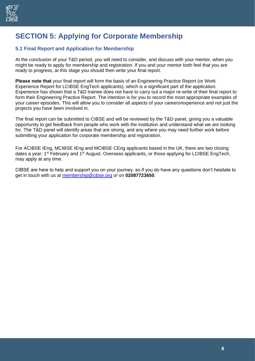

### **SECTION 5: Applying for Corporate Membership**

#### **5.1 Final Report and Application for Membership**

At the conclusion of your T&D period, you will need to consider, and discuss with your mentor, when you might be ready to apply for membership and registration. If you and your mentor both feel that you are ready to progress, at this stage you should then write your final report.

**Please note that** your final report will form the basis of an Engineering Practice Report (or Work Experience Report for LCIBSE EngTech applicants), which is a significant part of the application. Experience has shown that a T&D trainee does not have to carry out a major re-write of their final report to form their Engineering Practice Report. The intention is for you to record the most appropriate examples of your career episodes. This will allow you to consider all aspects of your careers/experience and not just the projects you have been involved in.

The final report can be submitted to CIBSE and will be reviewed by the T&D panel, giving you a valuable opportunity to get feedback from people who work with the institution and understand what we are looking for. The T&D panel will identify areas that are strong, and any where you may need further work before submitting your application for corporate membership and registration.

For ACIBSE IEng, MCIBSE IEng and MCIBSE CEng applicants based in the UK, there are two closing dates a year: 1<sup>st</sup> February and 1<sup>st</sup> August. Overseas applicants, or those applying for LCIBSE EngTech, may apply at any time.

CIBSE are here to help and support you on your journey, so if you do have any questions don't hesitate to get in touch with us at [membership@cibse.org](mailto:membership@cibse.org) or on **02087723650**.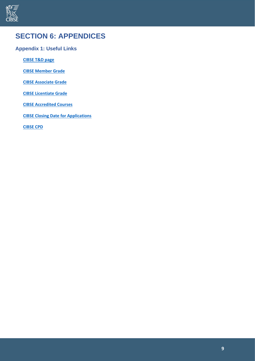

### **SECTION 6: APPENDICES**

#### **Appendix 1: Useful Links**

**[CIBSE T&D page](http://www.cibse.org/t-d)**

**[CIBSE Member Grade](http://www.cibse.org/member)** 

**[CIBSE Associate Grade](http://www.cibse.org/associate)**

**[CIBSE Licentiate Grade](http://www.cibse.org/licentiate)**

**[CIBSE Accredited Courses](http://www.cibse.org/membership/accredited-courses)**

**[CIBSE Closing Date for Applications](http://www.cibse.org/membership/help-for-applicants/closing-date-applications)**

**[CIBSE CPD](http://www.cibse.org/cpd)**